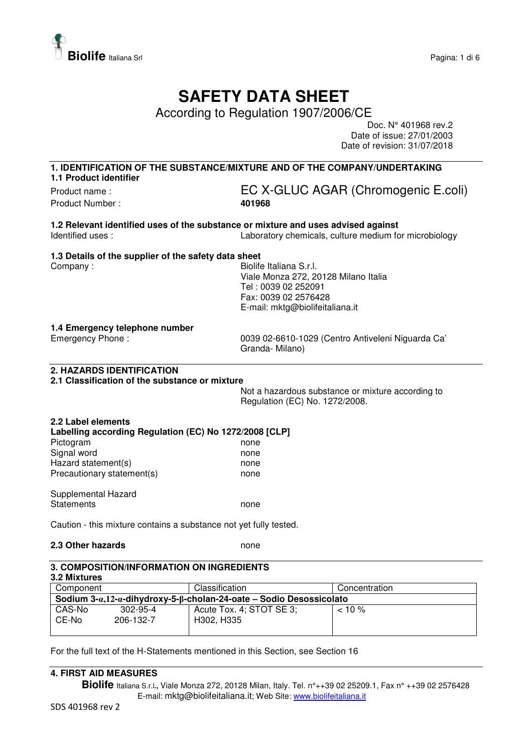

## **SAFETY DATA SHEET**

According to Regulation 1907/2006/CE

Doc. N° 401968 rev.2 Date of issue: 27/01/2003 Date of revision: 31/07/2018

**1. IDENTIFICATION OF THE SUBSTANCE/MIXTURE AND OF THE COMPANY/UNDERTAKING 1.1 Product identifier** 

Product Number : **401968** 

# Product name : <br>
EC X-GLUC AGAR (Chromogenic E.coli)

**1.2 Relevant identified uses of the substance or mixture and uses advised against**  Identified uses : Laboratory chemicals, culture medium for microbiology

#### **1.3 Details of the supplier of the safety data sheet**

Company : Georgia Company : Georgia Company : Georgia Company : Georgia Company : Georgia Company : Georgia Company Street Section 1, 1999 Viale Monza 272, 20128 Milano Italia Tel : 0039 02 252091 Fax: 0039 02 2576428 E-mail: mktg@biolifeitaliana.it

#### **1.4 Emergency telephone number**

Emergency Phone : 0039 02-6610-1029 (Centro Antiveleni Niguarda Ca' Granda- Milano)

#### **2. HAZARDS IDENTIFICATION**

#### **2.1 Classification of the substance or mixture**

Not a hazardous substance or mixture according to Regulation (EC) No. 1272/2008.

| 2.2 Label elements<br>Labelling according Regulation (EC) No 1272/2008 [CLP] |      |
|------------------------------------------------------------------------------|------|
| Pictogram                                                                    | none |
| Signal word                                                                  | none |
| Hazard statement(s)                                                          | none |
| Precautionary statement(s)                                                   | none |
| Supplemental Hazard                                                          |      |

Statements none

Caution - this mixture contains a substance not yet fully tested.

#### **2.3 Other hazards** none

#### **3. COMPOSITION/INFORMATION ON INGREDIENTS**

| 3.2 Mixtures                                                                  |                |                          |               |  |
|-------------------------------------------------------------------------------|----------------|--------------------------|---------------|--|
| Component                                                                     |                | Classification           | Concentration |  |
| Sodium $3-a.12-a$ -dihydroxy-5- $\beta$ -cholan-24-oate – Sodio Desossicolato |                |                          |               |  |
| CAS-No                                                                        | $302 - 95 - 4$ | Acute Tox. 4; STOT SE 3: | $< 10 \%$     |  |
| CE-No                                                                         | 206-132-7      | H302, H335               |               |  |
|                                                                               |                |                          |               |  |

For the full text of the H-Statements mentioned in this Section, see Section 16

#### **4. FIRST AID MEASURES**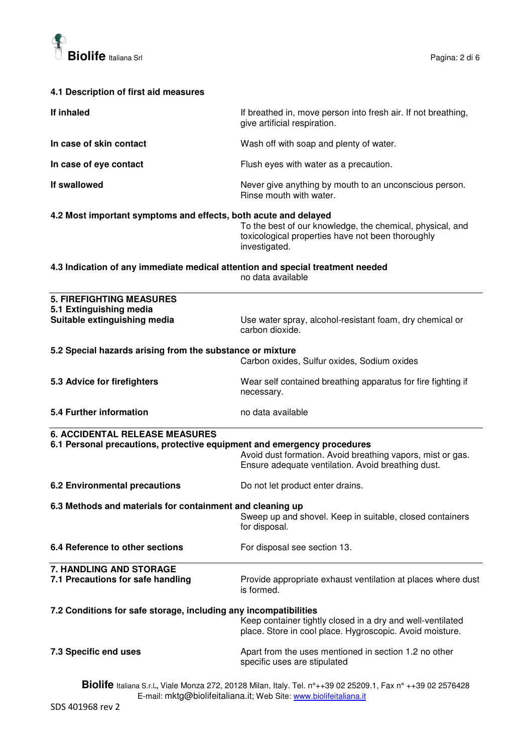

#### **4.1 Description of first aid measures**

| If inhaled                                                                                                       | If breathed in, move person into fresh air. If not breathing,<br>give artificial respiration.                                   |
|------------------------------------------------------------------------------------------------------------------|---------------------------------------------------------------------------------------------------------------------------------|
| In case of skin contact                                                                                          | Wash off with soap and plenty of water.                                                                                         |
| In case of eye contact                                                                                           | Flush eyes with water as a precaution.                                                                                          |
| If swallowed                                                                                                     | Never give anything by mouth to an unconscious person.<br>Rinse mouth with water.                                               |
| 4.2 Most important symptoms and effects, both acute and delayed                                                  | To the best of our knowledge, the chemical, physical, and<br>toxicological properties have not been thoroughly<br>investigated. |
| 4.3 Indication of any immediate medical attention and special treatment needed                                   | no data available                                                                                                               |
| <b>5. FIREFIGHTING MEASURES</b><br>5.1 Extinguishing media<br>Suitable extinguishing media                       | Use water spray, alcohol-resistant foam, dry chemical or<br>carbon dioxide.                                                     |
| 5.2 Special hazards arising from the substance or mixture                                                        | Carbon oxides, Sulfur oxides, Sodium oxides                                                                                     |
| 5.3 Advice for firefighters                                                                                      | Wear self contained breathing apparatus for fire fighting if<br>necessary.                                                      |
| 5.4 Further information                                                                                          | no data available                                                                                                               |
| <b>6. ACCIDENTAL RELEASE MEASURES</b><br>6.1 Personal precautions, protective equipment and emergency procedures |                                                                                                                                 |

|                               | Avoid dust formation. Avoid breathing vapors, mist or gas.<br>Ensure adequate ventilation. Avoid breathing dust. |
|-------------------------------|------------------------------------------------------------------------------------------------------------------|
| 6.2 Environmental precautions | Do not let product enter drains.                                                                                 |

### **6.3 Methods and materials for containment and cleaning up**

Sweep up and shovel. Keep in suitable, closed containers for disposal.

**6.4 Reference to other sections For disposal see section 13.** 

**7. HANDLING AND STORAGE 7.1 Precautions for safe handling The Provide appropriate exhaust ventilation at places where dust** is formed. **7.2 Conditions for safe storage, including any incompatibilities**  Keep container tightly closed in a dry and well-ventilated place. Store in cool place. Hygroscopic. Avoid moisture.

**7.3 Specific end uses Apart from the uses mentioned in section 1.2 no other** specific uses are stipulated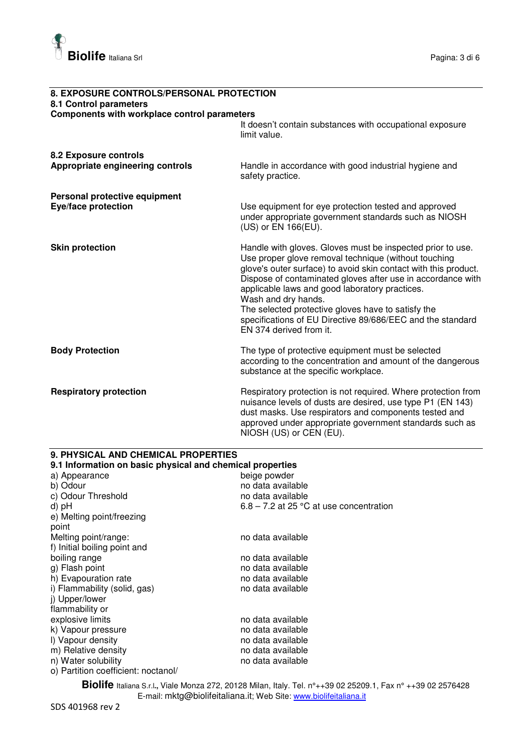

| 8. EXPOSURE CONTROLS/PERSONAL PROTECTION     |                                                                                                                                                                                                                                                                                                                                                                                                                                                                              |
|----------------------------------------------|------------------------------------------------------------------------------------------------------------------------------------------------------------------------------------------------------------------------------------------------------------------------------------------------------------------------------------------------------------------------------------------------------------------------------------------------------------------------------|
| 8.1 Control parameters                       |                                                                                                                                                                                                                                                                                                                                                                                                                                                                              |
| Components with workplace control parameters |                                                                                                                                                                                                                                                                                                                                                                                                                                                                              |
|                                              | It doesn't contain substances with occupational exposure<br>limit value.                                                                                                                                                                                                                                                                                                                                                                                                     |
| 8.2 Exposure controls                        |                                                                                                                                                                                                                                                                                                                                                                                                                                                                              |
| Appropriate engineering controls             | Handle in accordance with good industrial hygiene and<br>safety practice.                                                                                                                                                                                                                                                                                                                                                                                                    |
| Personal protective equipment                |                                                                                                                                                                                                                                                                                                                                                                                                                                                                              |
| Eye/face protection                          | Use equipment for eye protection tested and approved<br>under appropriate government standards such as NIOSH<br>(US) or EN 166(EU).                                                                                                                                                                                                                                                                                                                                          |
| <b>Skin protection</b>                       | Handle with gloves. Gloves must be inspected prior to use.<br>Use proper glove removal technique (without touching<br>glove's outer surface) to avoid skin contact with this product.<br>Dispose of contaminated gloves after use in accordance with<br>applicable laws and good laboratory practices.<br>Wash and dry hands.<br>The selected protective gloves have to satisfy the<br>specifications of EU Directive 89/686/EEC and the standard<br>EN 374 derived from it. |
| <b>Body Protection</b>                       | The type of protective equipment must be selected<br>according to the concentration and amount of the dangerous<br>substance at the specific workplace.                                                                                                                                                                                                                                                                                                                      |
| <b>Respiratory protection</b>                | Respiratory protection is not required. Where protection from<br>nuisance levels of dusts are desired, use type P1 (EN 143)<br>dust masks. Use respirators and components tested and<br>approved under appropriate government standards such as<br>NIOSH (US) or CEN (EU).                                                                                                                                                                                                   |

#### **9.1 Information on basic physical and chemical properties**  a) Appearance<br>b) Odour no data available<br>no data available  $c)$  Odour Threshold d) pH 6.8 – 7.2 at 25 °C at use concentration e) Melting point/freezing point Melting point/range: no data available f) Initial boiling point and<br>boiling range no data available<br>no data available g) Flash point<br>
h) Evapouration rate<br>
h) Evapouration rate<br>
h) Evapouration rate h) Evapouration rate<br>
i) Flammability (solid, gas) example no data available i) Flammability (solid, gas) i) Flammability (solid, gas) j) Upper/lower flammability or explosive limits **no assume that a** no data available k) Vapour pressure no data available l) Vapour density<br>
m) Relative density<br>
m ata available<br>
m ata available m) Relative density<br>
no data available<br>
no data available<br>
no data available

n) Water solubility o) Partition coefficient: noctanol/

**9. PHYSICAL AND CHEMICAL PROPERTIES**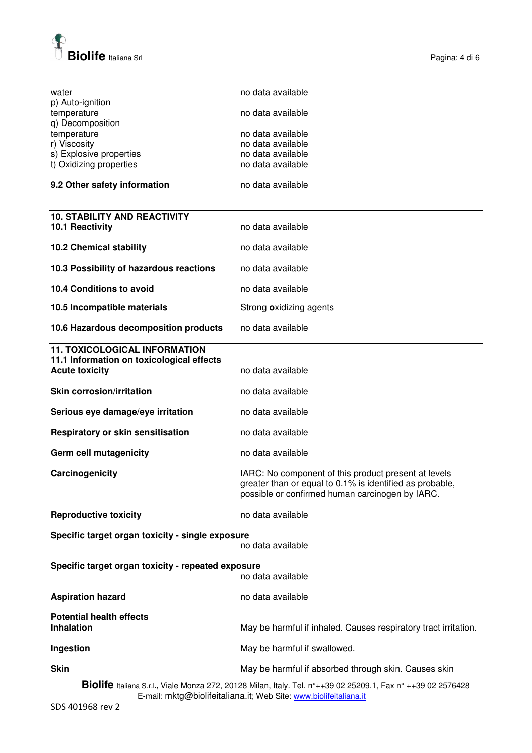

| water<br>p) Auto-ignition                                                                                                                                                         | no data available                                                                                                                                                   |
|-----------------------------------------------------------------------------------------------------------------------------------------------------------------------------------|---------------------------------------------------------------------------------------------------------------------------------------------------------------------|
| temperature<br>q) Decomposition                                                                                                                                                   | no data available                                                                                                                                                   |
| temperature                                                                                                                                                                       | no data available                                                                                                                                                   |
| r) Viscosity                                                                                                                                                                      | no data available                                                                                                                                                   |
| s) Explosive properties<br>t) Oxidizing properties                                                                                                                                | no data available<br>no data available                                                                                                                              |
|                                                                                                                                                                                   |                                                                                                                                                                     |
| 9.2 Other safety information                                                                                                                                                      | no data available                                                                                                                                                   |
| <b>10. STABILITY AND REACTIVITY</b>                                                                                                                                               |                                                                                                                                                                     |
| 10.1 Reactivity                                                                                                                                                                   | no data available                                                                                                                                                   |
| <b>10.2 Chemical stability</b>                                                                                                                                                    | no data available                                                                                                                                                   |
| 10.3 Possibility of hazardous reactions                                                                                                                                           | no data available                                                                                                                                                   |
| 10.4 Conditions to avoid                                                                                                                                                          | no data available                                                                                                                                                   |
| 10.5 Incompatible materials                                                                                                                                                       | Strong oxidizing agents                                                                                                                                             |
| 10.6 Hazardous decomposition products                                                                                                                                             | no data available                                                                                                                                                   |
| <b>11. TOXICOLOGICAL INFORMATION</b>                                                                                                                                              |                                                                                                                                                                     |
| 11.1 Information on toxicological effects<br><b>Acute toxicity</b>                                                                                                                | no data available                                                                                                                                                   |
| <b>Skin corrosion/irritation</b>                                                                                                                                                  | no data available                                                                                                                                                   |
| Serious eye damage/eye irritation                                                                                                                                                 | no data available                                                                                                                                                   |
| Respiratory or skin sensitisation                                                                                                                                                 | no data available                                                                                                                                                   |
| Germ cell mutagenicity                                                                                                                                                            | no data available                                                                                                                                                   |
| Carcinogenicity                                                                                                                                                                   | IARC: No component of this product present at levels<br>greater than or equal to 0.1% is identified as probable,<br>possible or confirmed human carcinogen by IARC. |
| <b>Reproductive toxicity</b>                                                                                                                                                      | no data available                                                                                                                                                   |
| Specific target organ toxicity - single exposure                                                                                                                                  |                                                                                                                                                                     |
|                                                                                                                                                                                   | no data available                                                                                                                                                   |
| Specific target organ toxicity - repeated exposure                                                                                                                                |                                                                                                                                                                     |
|                                                                                                                                                                                   | no data available                                                                                                                                                   |
| <b>Aspiration hazard</b>                                                                                                                                                          | no data available                                                                                                                                                   |
| <b>Potential health effects</b>                                                                                                                                                   |                                                                                                                                                                     |
| <b>Inhalation</b>                                                                                                                                                                 | May be harmful if inhaled. Causes respiratory tract irritation.                                                                                                     |
| Ingestion                                                                                                                                                                         | May be harmful if swallowed.                                                                                                                                        |
| <b>Skin</b>                                                                                                                                                                       | May be harmful if absorbed through skin. Causes skin                                                                                                                |
| Biolife Italiana S.r.l., Viale Monza 272, 20128 Milan, Italy. Tel. n°++39 02 25209.1, Fax n° ++39 02 2576428<br>E-mail: mktg@biolifeitaliana.it; Web Site: www.biolifeitaliana.it |                                                                                                                                                                     |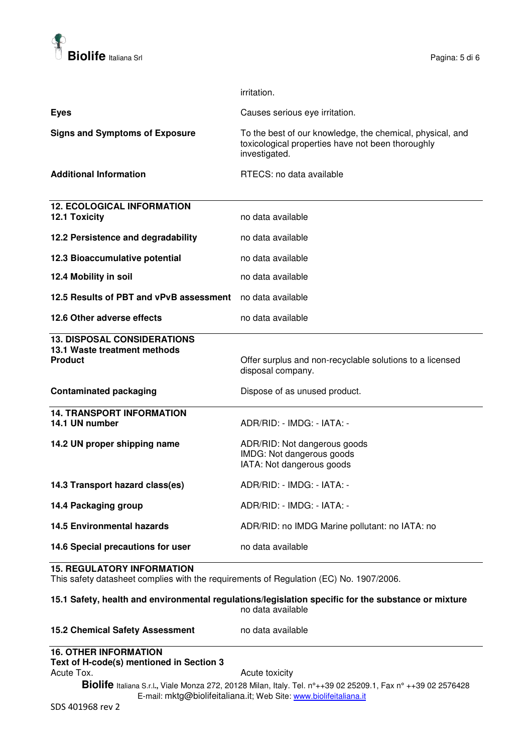

|                                                                                      | irritation.                                                                                                                     |
|--------------------------------------------------------------------------------------|---------------------------------------------------------------------------------------------------------------------------------|
| <b>Eyes</b>                                                                          | Causes serious eye irritation.                                                                                                  |
| <b>Signs and Symptoms of Exposure</b>                                                | To the best of our knowledge, the chemical, physical, and<br>toxicological properties have not been thoroughly<br>investigated. |
| <b>Additional Information</b>                                                        | RTECS: no data available                                                                                                        |
| <b>12. ECOLOGICAL INFORMATION</b><br>12.1 Toxicity                                   | no data available                                                                                                               |
| 12.2 Persistence and degradability                                                   | no data available                                                                                                               |
| 12.3 Bioaccumulative potential                                                       | no data available                                                                                                               |
| 12.4 Mobility in soil                                                                | no data available                                                                                                               |
| 12.5 Results of PBT and vPvB assessment                                              | no data available                                                                                                               |
| 12.6 Other adverse effects                                                           | no data available                                                                                                               |
| <b>13. DISPOSAL CONSIDERATIONS</b><br>13.1 Waste treatment methods<br><b>Product</b> | Offer surplus and non-recyclable solutions to a licensed<br>disposal company.                                                   |
| <b>Contaminated packaging</b>                                                        | Dispose of as unused product.                                                                                                   |
| <b>14. TRANSPORT INFORMATION</b><br>14.1 UN number                                   | ADR/RID: - IMDG: - IATA: -                                                                                                      |
| 14.2 UN proper shipping name                                                         | ADR/RID: Not dangerous goods<br>IMDG: Not dangerous goods<br>IATA: Not dangerous goods                                          |
| 14.3 Transport hazard class(es)                                                      | ADR/RID: - IMDG: - IATA: -                                                                                                      |
| 14.4 Packaging group                                                                 | ADR/RID: - IMDG: - IATA: -                                                                                                      |
| <b>14.5 Environmental hazards</b>                                                    | ADR/RID: no IMDG Marine pollutant: no IATA: no                                                                                  |
| 14.6 Special precautions for user                                                    | no data available                                                                                                               |

#### **15. REGULATORY INFORMATION**

This safety datasheet complies with the requirements of Regulation (EC) No. 1907/2006.

#### **15.1 Safety, health and environmental regulations/legislation specific for the substance or mixture**  no data available

#### 15.2 Chemical Safety Assessment no data available

#### **16. OTHER INFORMATION**

#### **Text of H-code(s) mentioned in Section 3**

Acute Tox. **Acute Tox.** Acute toxicity